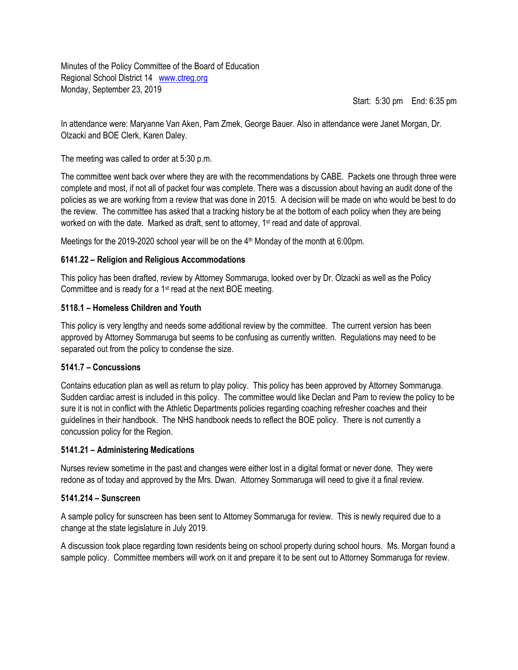Minutes of the Policy Committee of the Board of Education Regional School District 14 [www.ctreg.org](http://www.ctreg.org/) Monday, September 23, 2019

Start: 5:30 pm End: 6:35 pm

In attendance were: Maryanne Van Aken, Pam Zmek, George Bauer. Also in attendance were Janet Morgan, Dr. Olzacki and BOE Clerk, Karen Daley.

The meeting was called to order at 5:30 p.m.

The committee went back over where they are with the recommendations by CABE. Packets one through three were complete and most, if not all of packet four was complete. There was a discussion about having an audit done of the policies as we are working from a review that was done in 2015. A decision will be made on who would be best to do the review. The committee has asked that a tracking history be at the bottom of each policy when they are being worked on with the date. Marked as draft, sent to attorney, 1<sup>st</sup> read and date of approval.

Meetings for the 2019-2020 school year will be on the 4<sup>th</sup> Monday of the month at 6:00pm.

# **6141.22 – Religion and Religious Accommodations**

This policy has been drafted, review by Attorney Sommaruga, looked over by Dr. Olzacki as well as the Policy Committee and is ready for a 1st read at the next BOE meeting.

# **5118.1 – Homeless Children and Youth**

This policy is very lengthy and needs some additional review by the committee. The current version has been approved by Attorney Sommaruga but seems to be confusing as currently written. Regulations may need to be separated out from the policy to condense the size.

# **5141.7 – Concussions**

Contains education plan as well as return to play policy. This policy has been approved by Attorney Sommaruga. Sudden cardiac arrest is included in this policy. The committee would like Declan and Pam to review the policy to be sure it is not in conflict with the Athletic Departments policies regarding coaching refresher coaches and their guidelines in their handbook. The NHS handbook needs to reflect the BOE policy. There is not currently a concussion policy for the Region.

# **5141.21 – Administering Medications**

Nurses review sometime in the past and changes were either lost in a digital format or never done. They were redone as of today and approved by the Mrs. Dwan. Attorney Sommaruga will need to give it a final review.

# **5141.214 – Sunscreen**

A sample policy for sunscreen has been sent to Attorney Sommaruga for review. This is newly required due to a change at the state legislature in July 2019.

A discussion took place regarding town residents being on school property during school hours. Ms. Morgan found a sample policy. Committee members will work on it and prepare it to be sent out to Attorney Sommaruga for review.